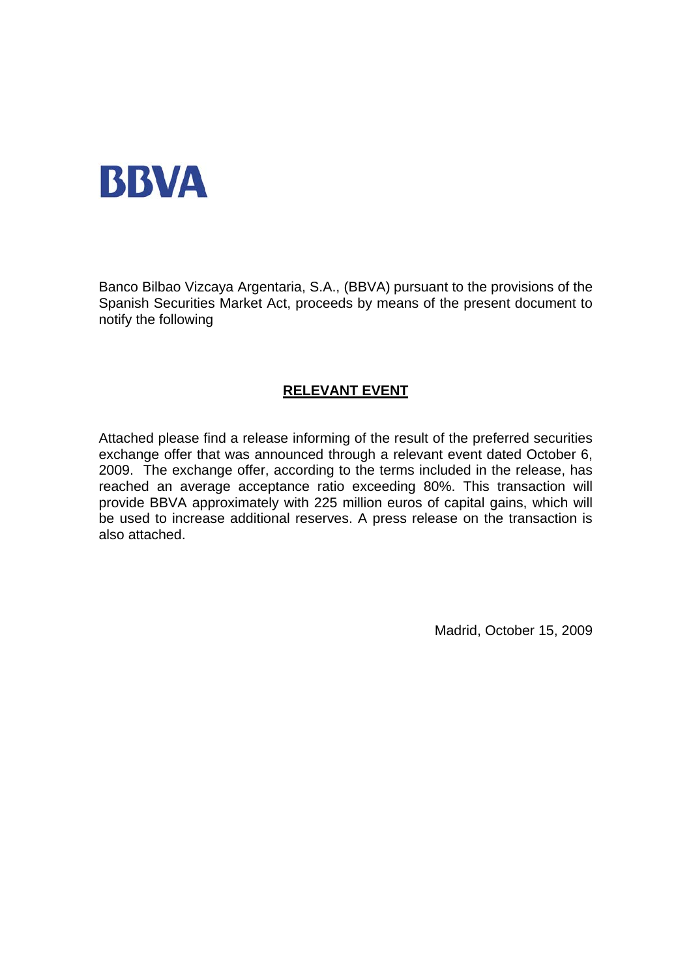

Banco Bilbao Vizcaya Argentaria, S.A., (BBVA) pursuant to the provisions of the Spanish Securities Market Act, proceeds by means of the present document to notify the following

# **RELEVANT EVENT**

Attached please find a release informing of the result of the preferred securities exchange offer that was announced through a relevant event dated October 6, 2009. The exchange offer, according to the terms included in the release, has reached an average acceptance ratio exceeding 80%. This transaction will provide BBVA approximately with 225 million euros of capital gains, which will be used to increase additional reserves. A press release on the transaction is also attached.

Madrid, October 15, 2009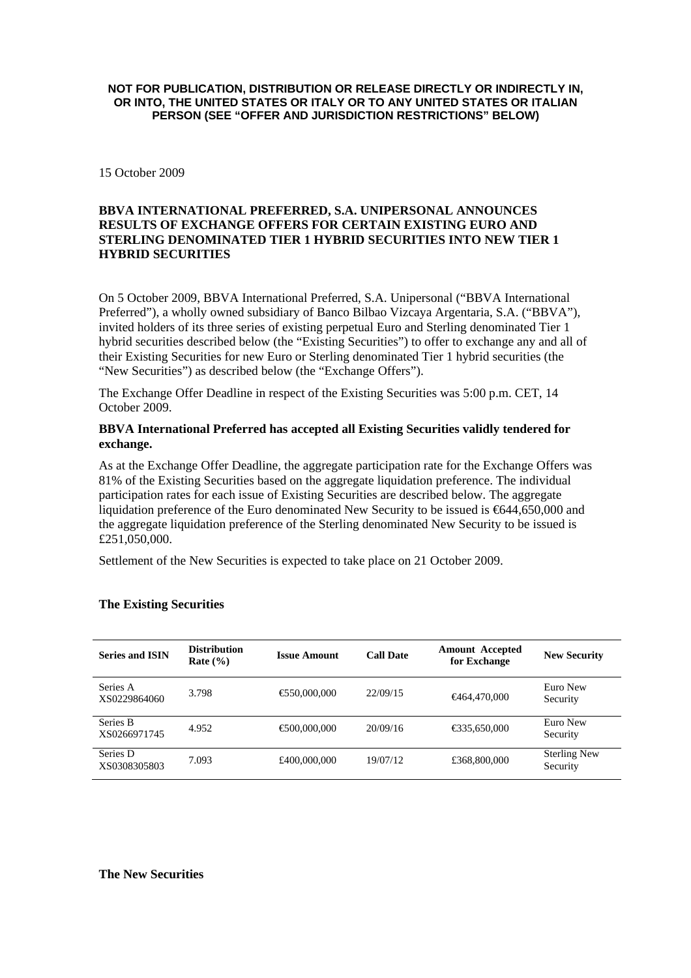#### **NOT FOR PUBLICATION, DISTRIBUTION OR RELEASE DIRECTLY OR INDIRECTLY IN, OR INTO, THE UNITED STATES OR ITALY OR TO ANY UNITED STATES OR ITALIAN PERSON (SEE "OFFER AND JURISDICTION RESTRICTIONS" BELOW)**

15 October 2009

### **BBVA INTERNATIONAL PREFERRED, S.A. UNIPERSONAL ANNOUNCES RESULTS OF EXCHANGE OFFERS FOR CERTAIN EXISTING EURO AND STERLING DENOMINATED TIER 1 HYBRID SECURITIES INTO NEW TIER 1 HYBRID SECURITIES**

On 5 October 2009, BBVA International Preferred, S.A. Unipersonal ("BBVA International Preferred"), a wholly owned subsidiary of Banco Bilbao Vizcaya Argentaria, S.A. ("BBVA"), invited holders of its three series of existing perpetual Euro and Sterling denominated Tier 1 hybrid securities described below (the "Existing Securities") to offer to exchange any and all of their Existing Securities for new Euro or Sterling denominated Tier 1 hybrid securities (the "New Securities") as described below (the "Exchange Offers").

The Exchange Offer Deadline in respect of the Existing Securities was 5:00 p.m. CET, 14 October 2009.

#### **BBVA International Preferred has accepted all Existing Securities validly tendered for exchange.**

As at the Exchange Offer Deadline, the aggregate participation rate for the Exchange Offers was 81% of the Existing Securities based on the aggregate liquidation preference. The individual participation rates for each issue of Existing Securities are described below. The aggregate liquidation preference of the Euro denominated New Security to be issued is €644,650,000 and the aggregate liquidation preference of the Sterling denominated New Security to be issued is £251,050,000.

Settlement of the New Securities is expected to take place on 21 October 2009.

| <b>Series and ISIN</b>   | <b>Distribution</b><br>Rate $(\% )$ | <b>Issue Amount</b> | <b>Call Date</b> | <b>Amount Accepted</b><br>for Exchange | <b>New Security</b>             |
|--------------------------|-------------------------------------|---------------------|------------------|----------------------------------------|---------------------------------|
| Series A<br>XS0229864060 | 3.798                               | €50,000,000         | 22/09/15         | $\bigoplus 64,470,000$                 | Euro New<br>Security            |
| Series B<br>XS0266971745 | 4.952                               | €00,000,000         | 20/09/16         | € 35,650,000                           | Euro New<br>Security            |
| Series D<br>XS0308305803 | 7.093                               | £400,000,000        | 19/07/12         | £368,800,000                           | <b>Sterling New</b><br>Security |

#### **The Existing Securities**

#### **The New Securities**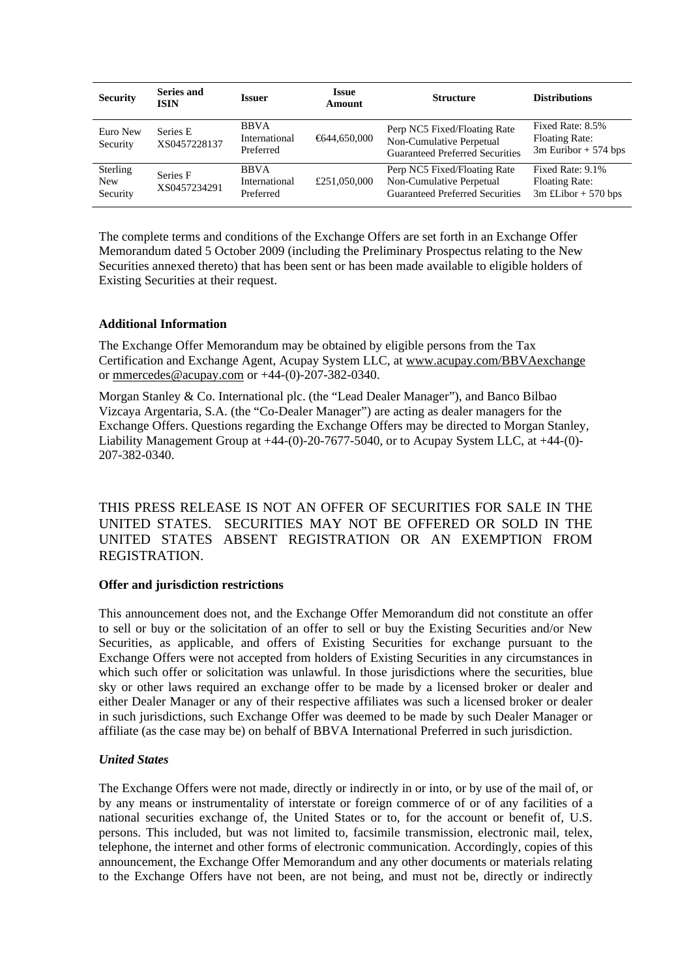| <b>Security</b>                    | <b>Series and</b><br><b>ISIN</b> | <b>Issuer</b>                             | <b>Issue</b><br>Amount | <b>Structure</b>                                                                                   | <b>Distributions</b>                                                |
|------------------------------------|----------------------------------|-------------------------------------------|------------------------|----------------------------------------------------------------------------------------------------|---------------------------------------------------------------------|
| Euro New<br>Security               | Series E<br>XS0457228137         | <b>BBVA</b><br>International<br>Preferred | €644,650,000           | Perp NC5 Fixed/Floating Rate<br>Non-Cumulative Perpetual<br><b>Guaranteed Preferred Securities</b> | Fixed Rate: 8.5%<br><b>Floating Rate:</b><br>$3m$ Euribor + 574 bps |
| Sterling<br><b>New</b><br>Security | Series F<br>XS0457234291         | <b>BBVA</b><br>International<br>Preferred | £251,050,000           | Perp NC5 Fixed/Floating Rate<br>Non-Cumulative Perpetual<br><b>Guaranteed Preferred Securities</b> | Fixed Rate: 9.1%<br><b>Floating Rate:</b><br>$3m$ £Libor + 570 bps  |

The complete terms and conditions of the Exchange Offers are set forth in an Exchange Offer Memorandum dated 5 October 2009 (including the Preliminary Prospectus relating to the New Securities annexed thereto) that has been sent or has been made available to eligible holders of Existing Securities at their request.

# **Additional Information**

The Exchange Offer Memorandum may be obtained by eligible persons from the Tax Certification and Exchange Agent, Acupay System LLC, at www.acupay.com/BBVAexchange or [mmercedes@acupay.com](mailto:mmercedes@acupay.com) or +44-(0)-207-382-0340.

Morgan Stanley & Co. International plc. (the "Lead Dealer Manager"), and Banco Bilbao Vizcaya Argentaria, S.A. (the "Co-Dealer Manager") are acting as dealer managers for the Exchange Offers. Questions regarding the Exchange Offers may be directed to Morgan Stanley, Liability Management Group at  $+44-(0)-20-7677-5040$ , or to Acupay System LLC, at  $+44-(0)-$ 207-382-0340.

THIS PRESS RELEASE IS NOT AN OFFER OF SECURITIES FOR SALE IN THE UNITED STATES. SECURITIES MAY NOT BE OFFERED OR SOLD IN THE UNITED STATES ABSENT REGISTRATION OR AN EXEMPTION FROM REGISTRATION.

#### **Offer and jurisdiction restrictions**

This announcement does not, and the Exchange Offer Memorandum did not constitute an offer to sell or buy or the solicitation of an offer to sell or buy the Existing Securities and/or New Securities, as applicable, and offers of Existing Securities for exchange pursuant to the Exchange Offers were not accepted from holders of Existing Securities in any circumstances in which such offer or solicitation was unlawful. In those jurisdictions where the securities, blue sky or other laws required an exchange offer to be made by a licensed broker or dealer and either Dealer Manager or any of their respective affiliates was such a licensed broker or dealer in such jurisdictions, such Exchange Offer was deemed to be made by such Dealer Manager or affiliate (as the case may be) on behalf of BBVA International Preferred in such jurisdiction.

#### *United States*

The Exchange Offers were not made, directly or indirectly in or into, or by use of the mail of, or by any means or instrumentality of interstate or foreign commerce of or of any facilities of a national securities exchange of, the United States or to, for the account or benefit of, U.S. persons. This included, but was not limited to, facsimile transmission, electronic mail, telex, telephone, the internet and other forms of electronic communication. Accordingly, copies of this announcement, the Exchange Offer Memorandum and any other documents or materials relating to the Exchange Offers have not been, are not being, and must not be, directly or indirectly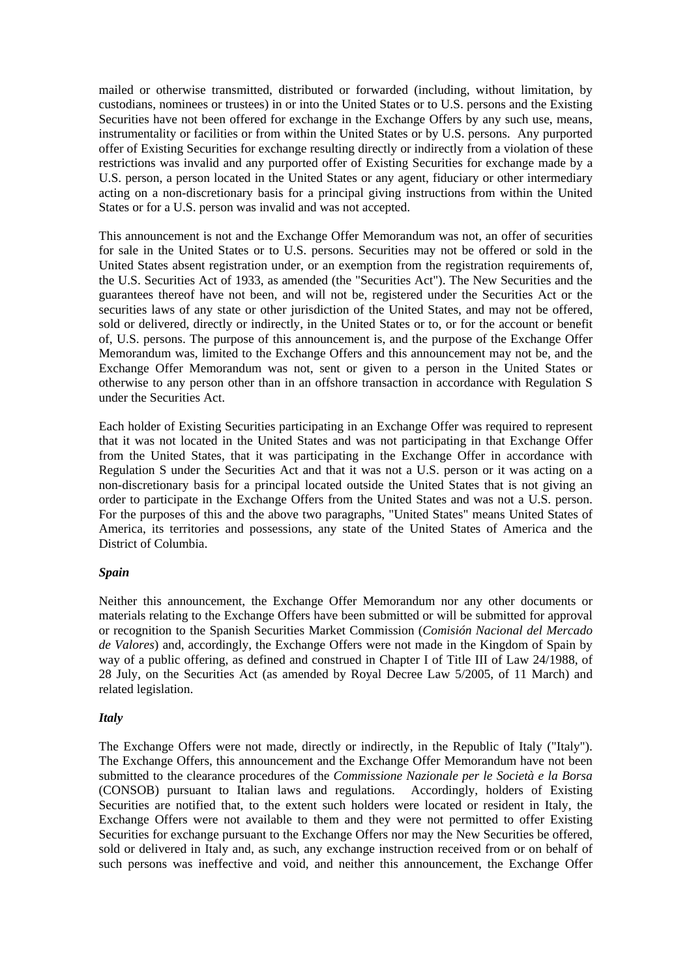mailed or otherwise transmitted, distributed or forwarded (including, without limitation, by custodians, nominees or trustees) in or into the United States or to U.S. persons and the Existing Securities have not been offered for exchange in the Exchange Offers by any such use, means, instrumentality or facilities or from within the United States or by U.S. persons. Any purported offer of Existing Securities for exchange resulting directly or indirectly from a violation of these restrictions was invalid and any purported offer of Existing Securities for exchange made by a U.S. person, a person located in the United States or any agent, fiduciary or other intermediary acting on a non-discretionary basis for a principal giving instructions from within the United States or for a U.S. person was invalid and was not accepted.

This announcement is not and the Exchange Offer Memorandum was not, an offer of securities for sale in the United States or to U.S. persons. Securities may not be offered or sold in the United States absent registration under, or an exemption from the registration requirements of, the U.S. Securities Act of 1933, as amended (the "Securities Act"). The New Securities and the guarantees thereof have not been, and will not be, registered under the Securities Act or the securities laws of any state or other jurisdiction of the United States, and may not be offered, sold or delivered, directly or indirectly, in the United States or to, or for the account or benefit of, U.S. persons. The purpose of this announcement is, and the purpose of the Exchange Offer Memorandum was, limited to the Exchange Offers and this announcement may not be, and the Exchange Offer Memorandum was not, sent or given to a person in the United States or otherwise to any person other than in an offshore transaction in accordance with Regulation S under the Securities Act.

Each holder of Existing Securities participating in an Exchange Offer was required to represent that it was not located in the United States and was not participating in that Exchange Offer from the United States, that it was participating in the Exchange Offer in accordance with Regulation S under the Securities Act and that it was not a U.S. person or it was acting on a non-discretionary basis for a principal located outside the United States that is not giving an order to participate in the Exchange Offers from the United States and was not a U.S. person. For the purposes of this and the above two paragraphs, "United States" means United States of America, its territories and possessions, any state of the United States of America and the District of Columbia.

#### *Spain*

Neither this announcement, the Exchange Offer Memorandum nor any other documents or materials relating to the Exchange Offers have been submitted or will be submitted for approval or recognition to the Spanish Securities Market Commission (*Comisión Nacional del Mercado de Valores*) and, accordingly, the Exchange Offers were not made in the Kingdom of Spain by way of a public offering, as defined and construed in Chapter I of Title III of Law 24/1988, of 28 July, on the Securities Act (as amended by Royal Decree Law 5/2005, of 11 March) and related legislation.

#### *Italy*

The Exchange Offers were not made, directly or indirectly, in the Republic of Italy ("Italy"). The Exchange Offers, this announcement and the Exchange Offer Memorandum have not been submitted to the clearance procedures of the *Commissione Nazionale per le Società e la Borsa* (CONSOB) pursuant to Italian laws and regulations. Accordingly, holders of Existing Securities are notified that, to the extent such holders were located or resident in Italy, the Exchange Offers were not available to them and they were not permitted to offer Existing Securities for exchange pursuant to the Exchange Offers nor may the New Securities be offered, sold or delivered in Italy and, as such, any exchange instruction received from or on behalf of such persons was ineffective and void, and neither this announcement, the Exchange Offer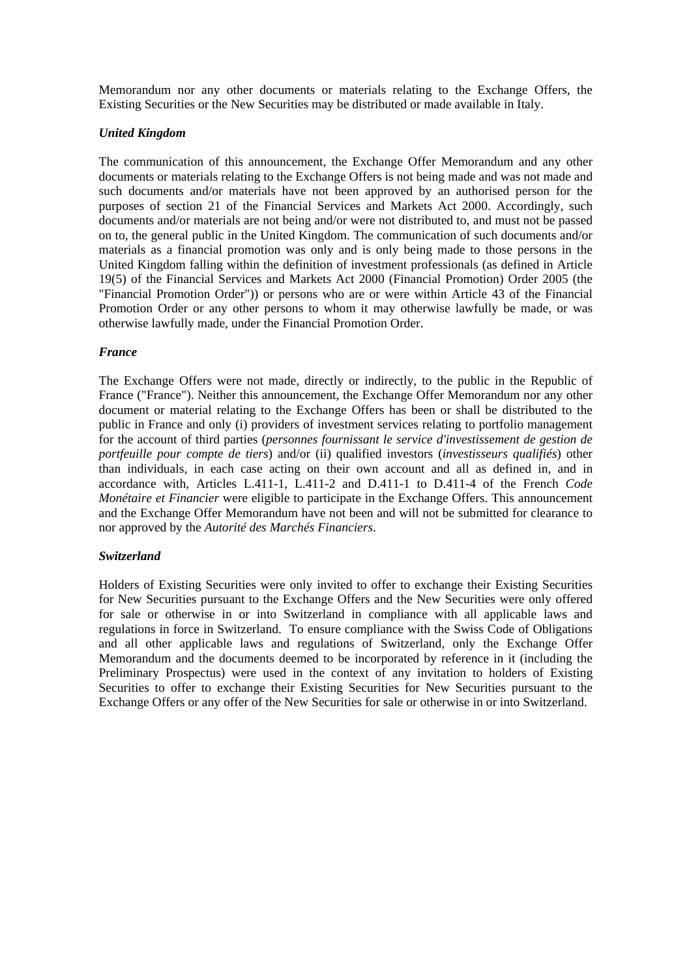Memorandum nor any other documents or materials relating to the Exchange Offers, the Existing Securities or the New Securities may be distributed or made available in Italy.

# *United Kingdom*

The communication of this announcement, the Exchange Offer Memorandum and any other documents or materials relating to the Exchange Offers is not being made and was not made and such documents and/or materials have not been approved by an authorised person for the purposes of section 21 of the Financial Services and Markets Act 2000. Accordingly, such documents and/or materials are not being and/or were not distributed to, and must not be passed on to, the general public in the United Kingdom. The communication of such documents and/or materials as a financial promotion was only and is only being made to those persons in the United Kingdom falling within the definition of investment professionals (as defined in Article 19(5) of the Financial Services and Markets Act 2000 (Financial Promotion) Order 2005 (the "Financial Promotion Order")) or persons who are or were within Article 43 of the Financial Promotion Order or any other persons to whom it may otherwise lawfully be made, or was otherwise lawfully made, under the Financial Promotion Order.

#### *France*

The Exchange Offers were not made, directly or indirectly, to the public in the Republic of France ("France"). Neither this announcement, the Exchange Offer Memorandum nor any other document or material relating to the Exchange Offers has been or shall be distributed to the public in France and only (i) providers of investment services relating to portfolio management for the account of third parties (*personnes fournissant le service d'investissement de gestion de portfeuille pour compte de tiers*) and/or (ii) qualified investors (*investisseurs qualifiés*) other than individuals, in each case acting on their own account and all as defined in, and in accordance with, Articles L.411-1, L.411-2 and D.411-1 to D.411-4 of the French *Code Monétaire et Financier* were eligible to participate in the Exchange Offers. This announcement and the Exchange Offer Memorandum have not been and will not be submitted for clearance to nor approved by the *Autorité des Marchés Financiers*.

#### *Switzerland*

Holders of Existing Securities were only invited to offer to exchange their Existing Securities for New Securities pursuant to the Exchange Offers and the New Securities were only offered for sale or otherwise in or into Switzerland in compliance with all applicable laws and regulations in force in Switzerland. To ensure compliance with the Swiss Code of Obligations and all other applicable laws and regulations of Switzerland, only the Exchange Offer Memorandum and the documents deemed to be incorporated by reference in it (including the Preliminary Prospectus) were used in the context of any invitation to holders of Existing Securities to offer to exchange their Existing Securities for New Securities pursuant to the Exchange Offers or any offer of the New Securities for sale or otherwise in or into Switzerland.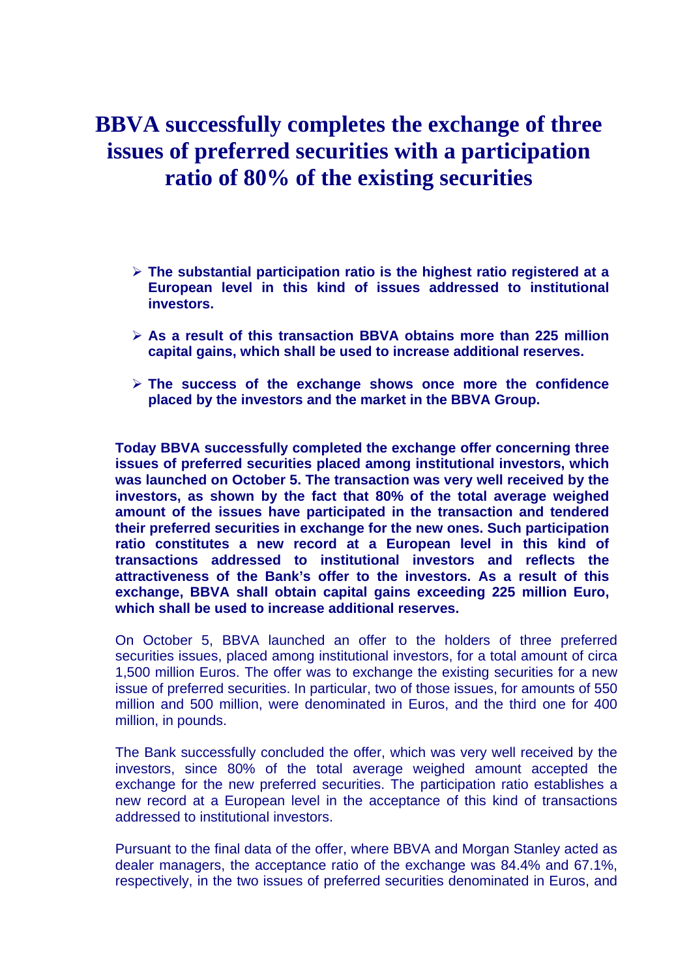# **BBVA successfully completes the exchange of three issues of preferred securities with a participation ratio of 80% of the existing securities**

- ¾ **The substantial participation ratio is the highest ratio registered at a European level in this kind of issues addressed to institutional investors.**
- ¾ **As a result of this transaction BBVA obtains more than 225 million capital gains, which shall be used to increase additional reserves.**
- ¾ **The success of the exchange shows once more the confidence placed by the investors and the market in the BBVA Group.**

**Today BBVA successfully completed the exchange offer concerning three issues of preferred securities placed among institutional investors, which was launched on October 5. The transaction was very well received by the investors, as shown by the fact that 80% of the total average weighed amount of the issues have participated in the transaction and tendered their preferred securities in exchange for the new ones. Such participation ratio constitutes a new record at a European level in this kind of transactions addressed to institutional investors and reflects the attractiveness of the Bank's offer to the investors. As a result of this exchange, BBVA shall obtain capital gains exceeding 225 million Euro, which shall be used to increase additional reserves.** 

On October 5, BBVA launched an offer to the holders of three preferred securities issues, placed among institutional investors, for a total amount of circa 1,500 million Euros. The offer was to exchange the existing securities for a new issue of preferred securities. In particular, two of those issues, for amounts of 550 million and 500 million, were denominated in Euros, and the third one for 400 million, in pounds.

The Bank successfully concluded the offer, which was very well received by the investors, since 80% of the total average weighed amount accepted the exchange for the new preferred securities. The participation ratio establishes a new record at a European level in the acceptance of this kind of transactions addressed to institutional investors.

Pursuant to the final data of the offer, where BBVA and Morgan Stanley acted as dealer managers, the acceptance ratio of the exchange was 84.4% and 67.1%, respectively, in the two issues of preferred securities denominated in Euros, and